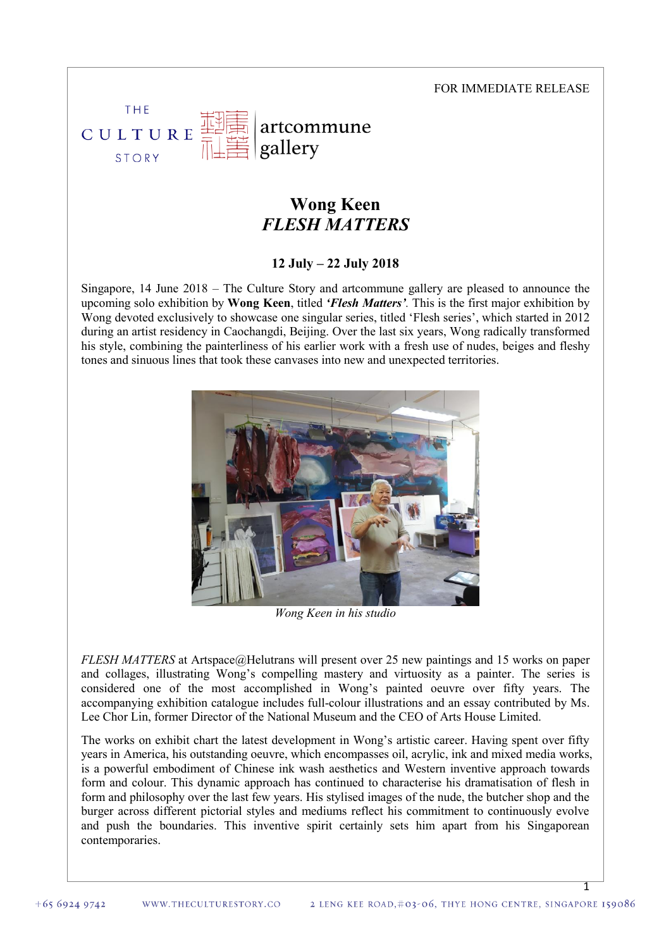#### FOR IMMEDIATE RELEASE

1

#### THF artcommune CULTURE gallery STORY

# **Wong Keen** *FLESH MATTERS*

**12 July – 22 July 2018**

Singapore, 14 June 2018 – The Culture Story and artcommune gallery are pleased to announce the upcoming solo exhibition by **Wong Keen**, titled *'Flesh Matters'.* This is the first major exhibition by Wong devoted exclusively to showcase one singular series, titled 'Flesh series', which started in 2012 during an artist residency in Caochangdi, Beijing. Over the last six years, Wong radically transformed his style, combining the painterliness of his earlier work with a fresh use of nudes, beiges and fleshy tones and sinuous lines that took these canvases into new and unexpected territories.



*Wong Keen in his studio*

*FLESH MATTERS* at Artspace@Helutrans will present over 25 new paintings and 15 works on paper and collages, illustrating Wong's compelling mastery and virtuosity as a painter. The series is considered one of the most accomplished in Wong's painted oeuvre over fifty years. The accompanying exhibition catalogue includes full-colour illustrations and an essay contributed by Ms. Lee Chor Lin, former Director of the National Museum and the CEO of Arts House Limited.

The works on exhibit chart the latest development in Wong's artistic career. Having spent over fifty years in America, his outstanding oeuvre, which encompasses oil, acrylic, ink and mixed media works, is a powerful embodiment of Chinese ink wash aesthetics and Western inventive approach towards form and colour. This dynamic approach has continued to characterise his dramatisation of flesh in form and philosophy over the last few years. His stylised images of the nude, the butcher shop and the burger across different pictorial styles and mediums reflect his commitment to continuously evolve and push the boundaries. This inventive spirit certainly sets him apart from his Singaporean contemporaries.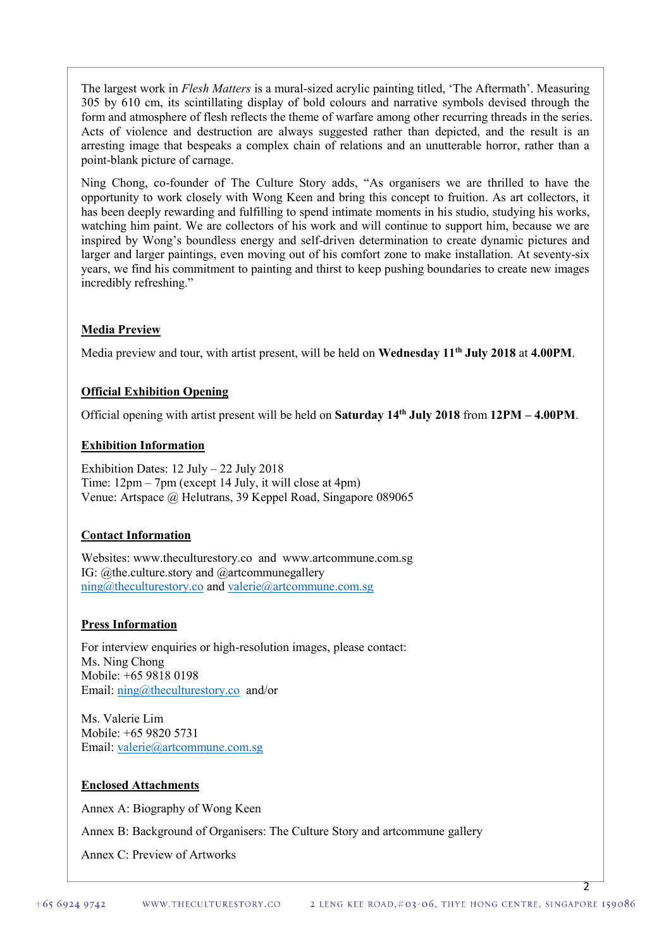The largest work in *Flesh Matters* is a mural-sized acrylic painting titled, 'The Aftermath'. Measuring 305 by 610 cm, its scintillating display of bold colours and narrative symbols devised through the form and atmosphere of flesh reflects the theme of warfare among other recurring threads in the series. Acts of violence and destruction are always suggested rather than depicted, and the result is an arresting image that bespeaks a complex chain of relations and an unutterable horror, rather than a point-blank picture of carnage.

Ning Chong, co-founder of The Culture Story adds, "As organisers we are thrilled to have the opportunity to work closely with Wong Keen and bring this concept to fruition. As art collectors, it has been deeply rewarding and fulfilling to spend intimate moments in his studio, studying his works, watching him paint. We are collectors of his work and will continue to support him, because we are inspired by Wong's boundless energy and self-driven determination to create dynamic pictures and larger and larger paintings, even moving out of his comfort zone to make installation. At seventy-six years, we find his commitment to painting and thirst to keep pushing boundaries to create new images incredibly refreshing."

## **Media Preview**

Media preview and tour, with artist present, will be held on **Wednesday 11th July 2018** at **4.00PM**.

## **Official Exhibition Opening**

Official opening with artist present will be held on **Saturday 14th July 2018** from **12PM – 4.00PM**.

#### **Exhibition Information**

Exhibition Dates: 12 July – 22 July 2018 Time: 12pm – 7pm (except 14 July, it will close at 4pm) Venue: Artspace @ Helutrans, 39 Keppel Road, Singapore 089065

### **Contact Information**

Websites: [www.theculturestory.co](http://www.theculturestory.co/) and www.artcommune.com.sg IG: @the.culture.story and @artcommunegallery [ning@theculturestory.co](mailto:ning@theculturestory.co) and [valerie@artcommune.com.sg](mailto:valerie@artcommune.com.sg)

### **Press Information**

For interview enquiries or high-resolution images, please contact: Ms. Ning Chong Mobile: +65 9818 0198 Email: [ning@theculturestory.co](mailto:ning@theculturestory.co) and/or

Ms. Valerie Lim Mobile: +65 9820 5731 Email: [valerie@artcommune.com.sg](mailto:valerie@artcommune.com.sg)

### **Enclosed Attachments**

Annex A: Biography of Wong Keen

Annex B: Background of Organisers: The Culture Story and artcommune gallery

Annex C: Preview of Artworks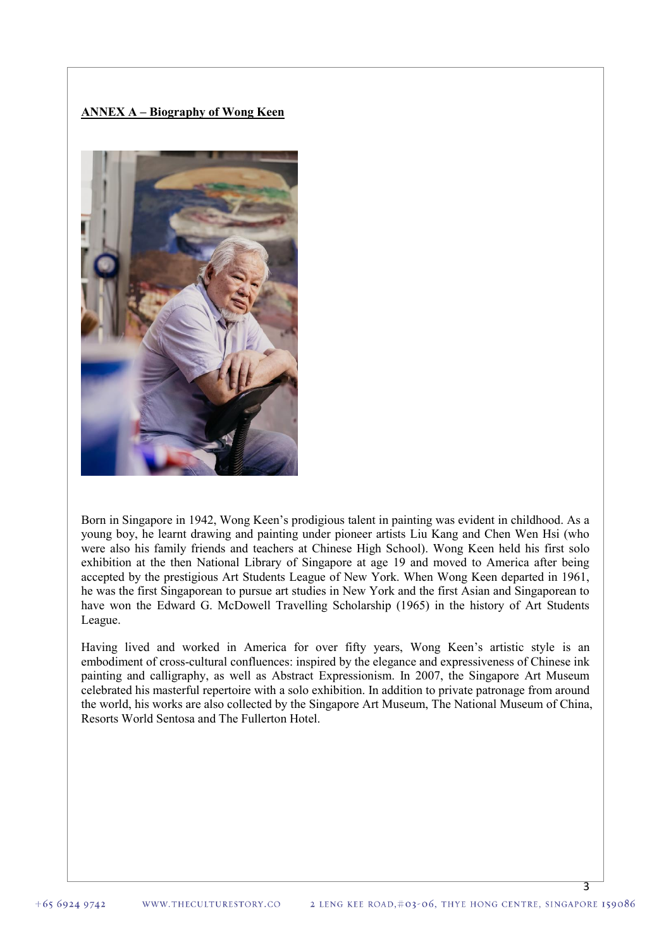# **ANNEX A – Biography of Wong Keen**



Born in Singapore in 1942, Wong Keen's prodigious talent in painting was evident in childhood. As a young boy, he learnt drawing and painting under pioneer artists Liu Kang and Chen Wen Hsi (who were also his family friends and teachers at Chinese High School). Wong Keen held his first solo exhibition at the then National Library of Singapore at age 19 and moved to America after being accepted by the prestigious Art Students League of New York. When Wong Keen departed in 1961, he was the first Singaporean to pursue art studies in New York and the first Asian and Singaporean to have won the Edward G. McDowell Travelling Scholarship (1965) in the history of Art Students League.

Having lived and worked in America for over fifty years, Wong Keen's artistic style is an embodiment of cross-cultural confluences: inspired by the elegance and expressiveness of Chinese ink painting and calligraphy, as well as Abstract Expressionism. In 2007, the Singapore Art Museum celebrated his masterful repertoire with a solo exhibition. In addition to private patronage from around the world, his works are also collected by the Singapore Art Museum, The National Museum of China, Resorts World Sentosa and The Fullerton Hotel.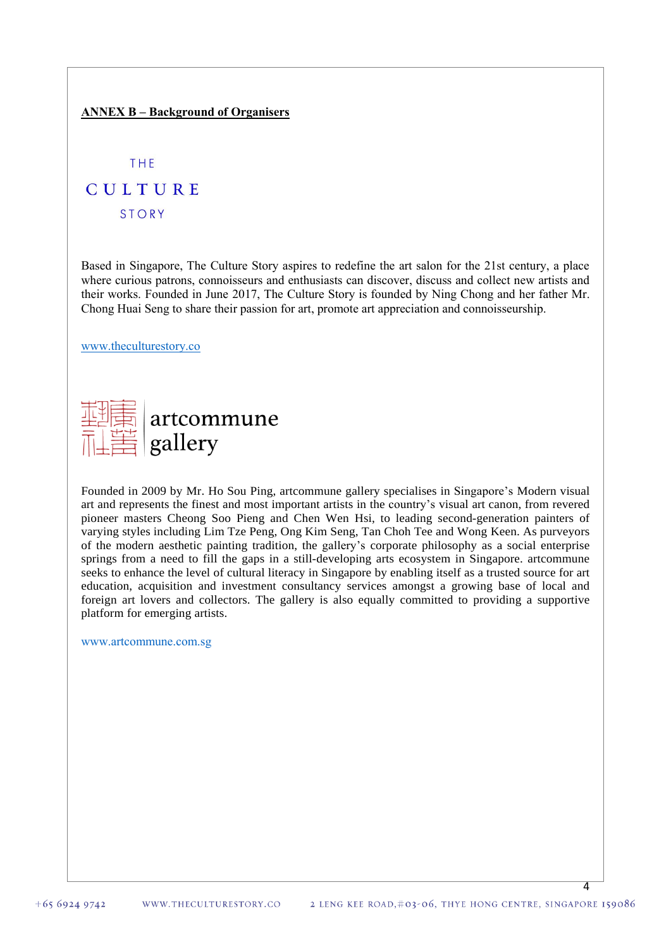### **ANNEX B – Background of Organisers**

**THE** 

# CULTURE

**STORY** 

Based in Singapore, The Culture Story aspires to redefine the art salon for the 21st century, a place where curious patrons, connoisseurs and enthusiasts can discover, discuss and collect new artists and their works. Founded in June 2017, The Culture Story is founded by Ning Chong and her father Mr. Chong Huai Seng to share their passion for art, promote art appreciation and connoisseurship.

[www.theculturestory.co](http://www.theculturestory.co/)

| THE artcommune     |
|--------------------|
| <b>THE gallery</b> |

Founded in 2009 by Mr. Ho Sou Ping, artcommune gallery specialises in Singapore's Modern visual art and represents the finest and most important artists in the country's visual art canon, from revered pioneer masters Cheong Soo Pieng and Chen Wen Hsi, to leading second-generation painters of varying styles including Lim Tze Peng, Ong Kim Seng, Tan Choh Tee and Wong Keen. As purveyors of the modern aesthetic painting tradition, the gallery's corporate philosophy as a social enterprise springs from a need to fill the gaps in a still-developing arts ecosystem in Singapore. artcommune seeks to enhance the level of cultural literacy in Singapore by enabling itself as a trusted source for art education, acquisition and investment consultancy services amongst a growing base of local and foreign art lovers and collectors. The gallery is also equally committed to providing a supportive platform for emerging artists.

[www.artcommune.com.sg](http://www.artcommune.com.sg/)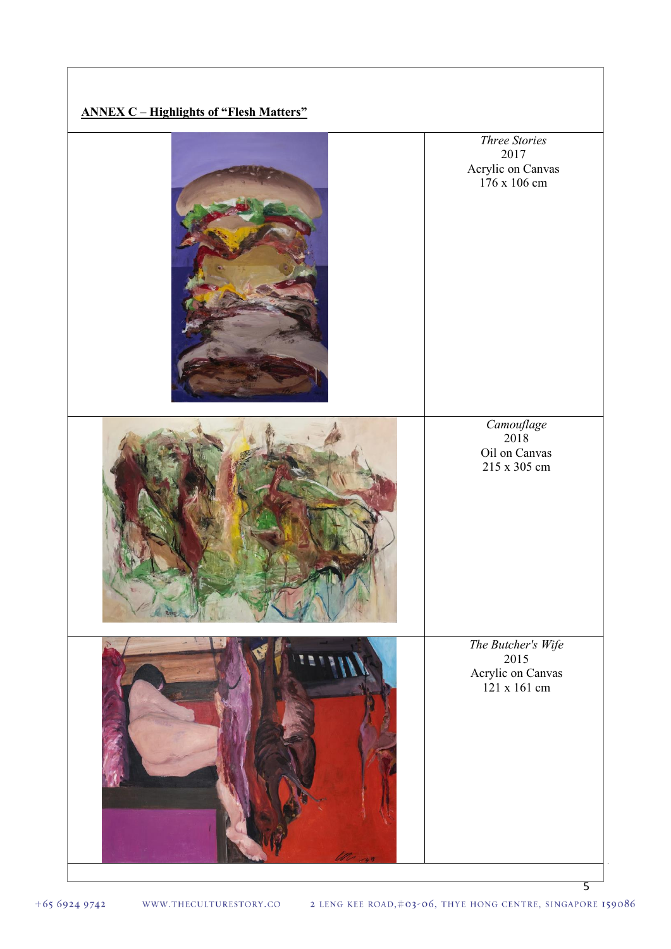**ANNEX C – Highlights of "Flesh Matters"** *Three Stories* 2017 Acrylic on Canvas  $176 \times 106$  cm *Camouflage* 2018 Oil on Canvas 215 x 305 cm *The Butcher's Wife* 2015 Acrylic on Canvas 121 x 161 cm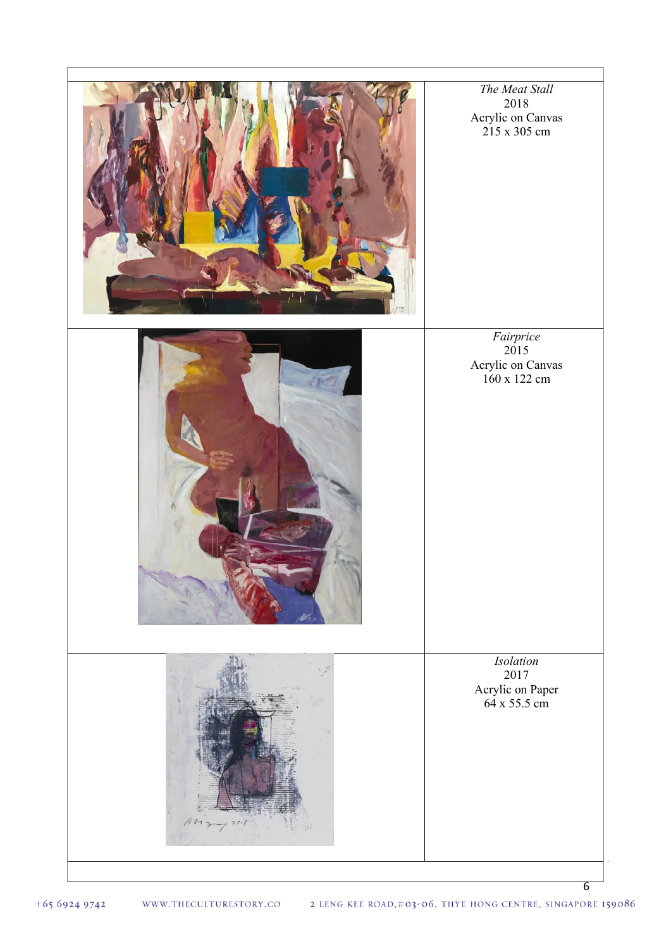